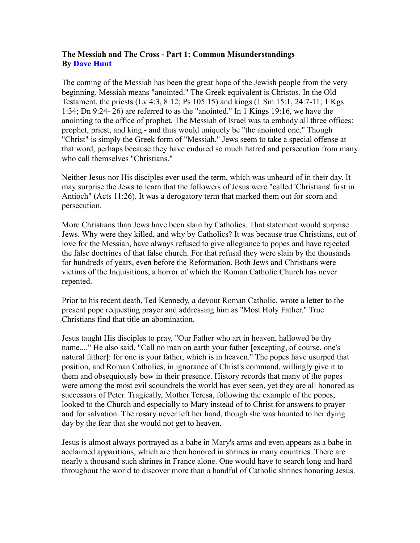## **The Messiah and The Cross - Part 1: Common Misunderstandings By [Dave Hunt](http://www.thebereancall.org/)**

The coming of the Messiah has been the great hope of the Jewish people from the very beginning. Messiah means "anointed." The Greek equivalent is Christos. In the Old Testament, the priests (Lv 4:3, 8:12; Ps 105:15) and kings (1 Sm 15:1, 24:7-11; 1 Kgs 1:34; Dn 9:24- 26) are referred to as the "anointed." In 1 Kings 19:16, we have the anointing to the office of prophet. The Messiah of Israel was to embody all three offices: prophet, priest, and king - and thus would uniquely be "the anointed one." Though "Christ" is simply the Greek form of "Messiah," Jews seem to take a special offense at that word, perhaps because they have endured so much hatred and persecution from many who call themselves "Christians."

Neither Jesus nor His disciples ever used the term, which was unheard of in their day. It may surprise the Jews to learn that the followers of Jesus were "called 'Christians' first in Antioch" (Acts 11:26). It was a derogatory term that marked them out for scorn and persecution.

More Christians than Jews have been slain by Catholics. That statement would surprise Jews. Why were they killed, and why by Catholics? It was because true Christians, out of love for the Messiah, have always refused to give allegiance to popes and have rejected the false doctrines of that false church. For that refusal they were slain by the thousands for hundreds of years, even before the Reformation. Both Jews and Christians were victims of the Inquisitions, a horror of which the Roman Catholic Church has never repented.

Prior to his recent death, Ted Kennedy, a devout Roman Catholic, wrote a letter to the present pope requesting prayer and addressing him as "Most Holy Father." True Christians find that title an abomination.

Jesus taught His disciples to pray, "Our Father who art in heaven, hallowed be thy name...." He also said, "Call no man on earth your father [excepting, of course, one's natural father]: for one is your father, which is in heaven." The popes have usurped that position, and Roman Catholics, in ignorance of Christ's command, willingly give it to them and obsequiously bow in their presence. History records that many of the popes were among the most evil scoundrels the world has ever seen, yet they are all honored as successors of Peter. Tragically, Mother Teresa, following the example of the popes, looked to the Church and especially to Mary instead of to Christ for answers to prayer and for salvation. The rosary never left her hand, though she was haunted to her dying day by the fear that she would not get to heaven.

Jesus is almost always portrayed as a babe in Mary's arms and even appears as a babe in acclaimed apparitions, which are then honored in shrines in many countries. There are nearly a thousand such shrines in France alone. One would have to search long and hard throughout the world to discover more than a handful of Catholic shrines honoring Jesus.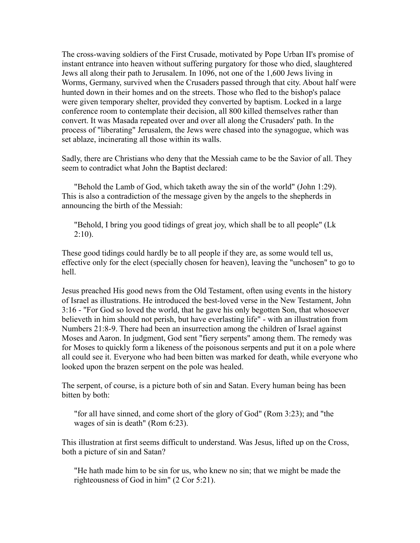The cross-waving soldiers of the First Crusade, motivated by Pope Urban II's promise of instant entrance into heaven without suffering purgatory for those who died, slaughtered Jews all along their path to Jerusalem. In 1096, not one of the 1,600 Jews living in Worms, Germany, survived when the Crusaders passed through that city. About half were hunted down in their homes and on the streets. Those who fled to the bishop's palace were given temporary shelter, provided they converted by baptism. Locked in a large conference room to contemplate their decision, all 800 killed themselves rather than convert. It was Masada repeated over and over all along the Crusaders' path. In the process of "liberating" Jerusalem, the Jews were chased into the synagogue, which was set ablaze, incinerating all those within its walls.

Sadly, there are Christians who deny that the Messiah came to be the Savior of all. They seem to contradict what John the Baptist declared:

"Behold the Lamb of God, which taketh away the sin of the world" (John 1:29). This is also a contradiction of the message given by the angels to the shepherds in announcing the birth of the Messiah:

"Behold, I bring you good tidings of great joy, which shall be to all people" (Lk  $2:10$ ).

These good tidings could hardly be to all people if they are, as some would tell us, effective only for the elect (specially chosen for heaven), leaving the "unchosen" to go to hell.

Jesus preached His good news from the Old Testament, often using events in the history of Israel as illustrations. He introduced the best-loved verse in the New Testament, John 3:16 - "For God so loved the world, that he gave his only begotten Son, that whosoever believeth in him should not perish, but have everlasting life" - with an illustration from Numbers 21:8-9. There had been an insurrection among the children of Israel against Moses and Aaron. In judgment, God sent "fiery serpents" among them. The remedy was for Moses to quickly form a likeness of the poisonous serpents and put it on a pole where all could see it. Everyone who had been bitten was marked for death, while everyone who looked upon the brazen serpent on the pole was healed.

The serpent, of course, is a picture both of sin and Satan. Every human being has been bitten by both:

"for all have sinned, and come short of the glory of God" (Rom 3:23); and "the wages of sin is death" (Rom 6:23).

This illustration at first seems difficult to understand. Was Jesus, lifted up on the Cross, both a picture of sin and Satan?

"He hath made him to be sin for us, who knew no sin; that we might be made the righteousness of God in him" (2 Cor 5:21).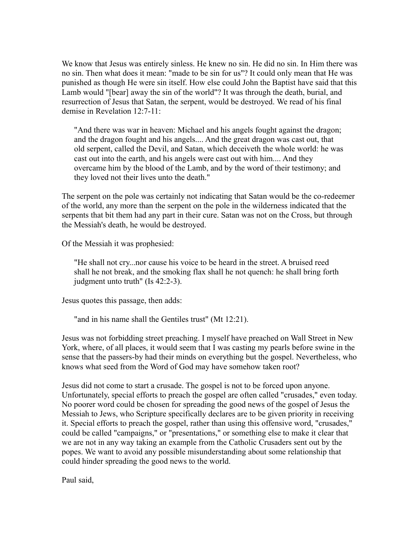We know that Jesus was entirely sinless. He knew no sin. He did no sin. In Him there was no sin. Then what does it mean: "made to be sin for us"? It could only mean that He was punished as though He were sin itself. How else could John the Baptist have said that this Lamb would "[bear] away the sin of the world"? It was through the death, burial, and resurrection of Jesus that Satan, the serpent, would be destroyed. We read of his final demise in Revelation 12:7-11:

"And there was war in heaven: Michael and his angels fought against the dragon; and the dragon fought and his angels.... And the great dragon was cast out, that old serpent, called the Devil, and Satan, which deceiveth the whole world: he was cast out into the earth, and his angels were cast out with him.... And they overcame him by the blood of the Lamb, and by the word of their testimony; and they loved not their lives unto the death."

The serpent on the pole was certainly not indicating that Satan would be the co-redeemer of the world, any more than the serpent on the pole in the wilderness indicated that the serpents that bit them had any part in their cure. Satan was not on the Cross, but through the Messiah's death, he would be destroyed.

Of the Messiah it was prophesied:

"He shall not cry...nor cause his voice to be heard in the street. A bruised reed shall he not break, and the smoking flax shall he not quench: he shall bring forth judgment unto truth" (Is 42:2-3).

Jesus quotes this passage, then adds:

"and in his name shall the Gentiles trust" (Mt 12:21).

Jesus was not forbidding street preaching. I myself have preached on Wall Street in New York, where, of all places, it would seem that I was casting my pearls before swine in the sense that the passers-by had their minds on everything but the gospel. Nevertheless, who knows what seed from the Word of God may have somehow taken root?

Jesus did not come to start a crusade. The gospel is not to be forced upon anyone. Unfortunately, special efforts to preach the gospel are often called "crusades," even today. No poorer word could be chosen for spreading the good news of the gospel of Jesus the Messiah to Jews, who Scripture specifically declares are to be given priority in receiving it. Special efforts to preach the gospel, rather than using this offensive word, "crusades," could be called "campaigns," or "presentations," or something else to make it clear that we are not in any way taking an example from the Catholic Crusaders sent out by the popes. We want to avoid any possible misunderstanding about some relationship that could hinder spreading the good news to the world.

Paul said,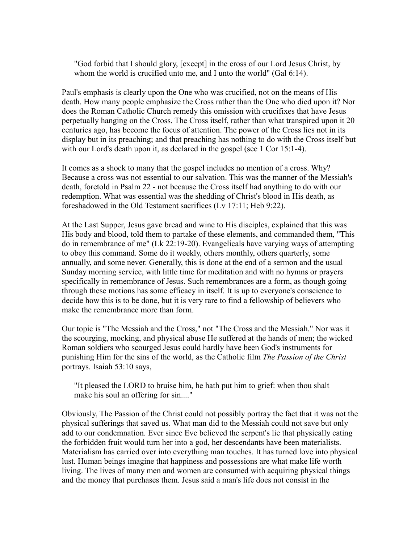"God forbid that I should glory, [except] in the cross of our Lord Jesus Christ, by whom the world is crucified unto me, and I unto the world" (Gal 6:14).

Paul's emphasis is clearly upon the One who was crucified, not on the means of His death. How many people emphasize the Cross rather than the One who died upon it? Nor does the Roman Catholic Church remedy this omission with crucifixes that have Jesus perpetually hanging on the Cross. The Cross itself, rather than what transpired upon it 20 centuries ago, has become the focus of attention. The power of the Cross lies not in its display but in its preaching; and that preaching has nothing to do with the Cross itself but with our Lord's death upon it, as declared in the gospel (see 1 Cor 15:1-4).

It comes as a shock to many that the gospel includes no mention of a cross. Why? Because a cross was not essential to our salvation. This was the manner of the Messiah's death, foretold in Psalm 22 - not because the Cross itself had anything to do with our redemption. What was essential was the shedding of Christ's blood in His death, as foreshadowed in the Old Testament sacrifices (Lv 17:11; Heb 9:22).

At the Last Supper, Jesus gave bread and wine to His disciples, explained that this was His body and blood, told them to partake of these elements, and commanded them, "This do in remembrance of me" (Lk 22:19-20). Evangelicals have varying ways of attempting to obey this command. Some do it weekly, others monthly, others quarterly, some annually, and some never. Generally, this is done at the end of a sermon and the usual Sunday morning service, with little time for meditation and with no hymns or prayers specifically in remembrance of Jesus. Such remembrances are a form, as though going through these motions has some efficacy in itself. It is up to everyone's conscience to decide how this is to be done, but it is very rare to find a fellowship of believers who make the remembrance more than form.

Our topic is "The Messiah and the Cross," not "The Cross and the Messiah." Nor was it the scourging, mocking, and physical abuse He suffered at the hands of men; the wicked Roman soldiers who scourged Jesus could hardly have been God's instruments for punishing Him for the sins of the world, as the Catholic film *The Passion of the Christ* portrays. Isaiah 53:10 says,

"It pleased the LORD to bruise him, he hath put him to grief: when thou shalt make his soul an offering for sin...."

Obviously, The Passion of the Christ could not possibly portray the fact that it was not the physical sufferings that saved us. What man did to the Messiah could not save but only add to our condemnation. Ever since Eve believed the serpent's lie that physically eating the forbidden fruit would turn her into a god, her descendants have been materialists. Materialism has carried over into everything man touches. It has turned love into physical lust. Human beings imagine that happiness and possessions are what make life worth living. The lives of many men and women are consumed with acquiring physical things and the money that purchases them. Jesus said a man's life does not consist in the